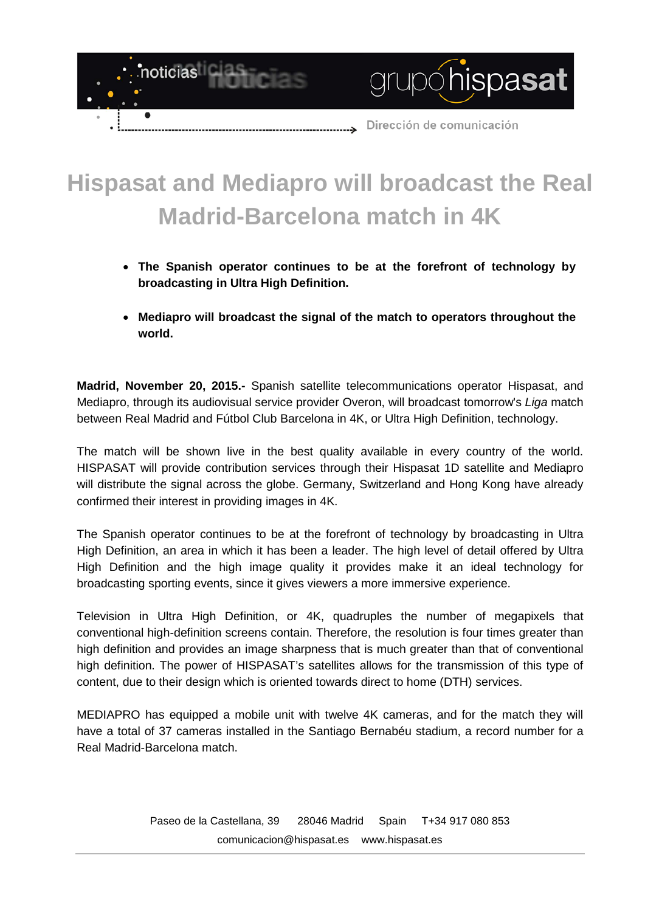

## **Hispasat and Mediapro will broadcast the Real Madrid-Barcelona match in 4K**

- **The Spanish operator continues to be at the forefront of technology by broadcasting in Ultra High Definition.**
- **Mediapro will broadcast the signal of the match to operators throughout the world.**

**Madrid, November 20, 2015.-** Spanish satellite telecommunications operator Hispasat, and Mediapro, through its audiovisual service provider Overon, will broadcast tomorrow's *Liga* match between Real Madrid and Fútbol Club Barcelona in 4K, or Ultra High Definition, technology.

The match will be shown live in the best quality available in every country of the world. HISPASAT will provide contribution services through their Hispasat 1D satellite and Mediapro will distribute the signal across the globe. Germany, Switzerland and Hong Kong have already confirmed their interest in providing images in 4K.

The Spanish operator continues to be at the forefront of technology by broadcasting in Ultra High Definition, an area in which it has been a leader. The high level of detail offered by Ultra High Definition and the high image quality it provides make it an ideal technology for broadcasting sporting events, since it gives viewers a more immersive experience.

Television in Ultra High Definition, or 4K, quadruples the number of megapixels that conventional high-definition screens contain. Therefore, the resolution is four times greater than high definition and provides an image sharpness that is much greater than that of conventional high definition. The power of HISPASAT's satellites allows for the transmission of this type of content, due to their design which is oriented towards direct to home (DTH) services.

MEDIAPRO has equipped a mobile unit with twelve 4K cameras, and for the match they will have a total of 37 cameras installed in the Santiago Bernabéu stadium, a record number for a Real Madrid-Barcelona match.